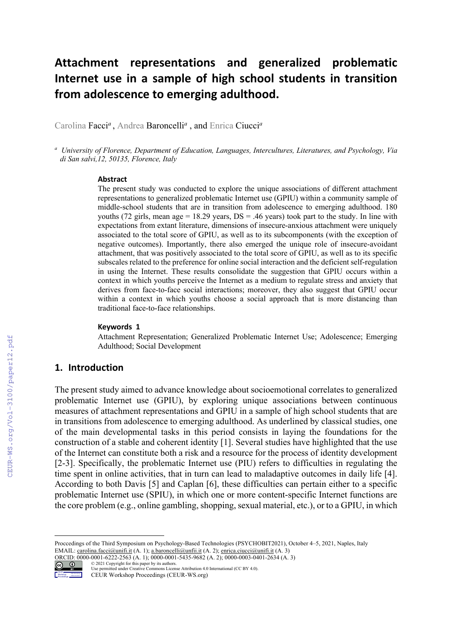# **Attachment representations and generalized problematic Internet use in a sample of high school students in transition from adolescence to emerging adulthood.**

Carolina Facci*<sup>a</sup>* , Andrea Baroncelli*<sup>a</sup>* , and Enrica Ciucci*<sup>a</sup>*

*<sup>a</sup> University of Florence, Department of Education, Languages, Intercultures, Literatures, and Psychology, Via di San salvi,12, 50135, Florence, Italy*

#### **Abstract**

The present study was conducted to explore the unique associations of different attachment representations to generalized problematic Internet use (GPIU) within a community sample of middle-school students that are in transition from adolescence to emerging adulthood. 180 youths (72 girls, mean age = 18.29 years,  $DS = .46$  years) took part to the study. In line with expectations from extant literature, dimensions of insecure-anxious attachment were uniquely associated to the total score of GPIU, as well as to its subcomponents (with the exception of negative outcomes). Importantly, there also emerged the unique role of insecure-avoidant attachment, that was positively associated to the total score of GPIU, as well as to its specific subscales related to the preference for online social interaction and the deficient self-regulation in using the Internet. These results consolidate the suggestion that GPIU occurs within a context in which youths perceive the Internet as a medium to regulate stress and anxiety that derives from face-to-face social interactions; moreover, they also suggest that GPIU occur within a context in which youths choose a social approach that is more distancing than traditional face-to-face relationships.

#### **Keywords 1**

Attachment Representation; Generalized Problematic Internet Use; Adolescence; Emerging Adulthood; Social Development

#### **1. Introduction**

CEUR-WS.org/Vol-3100/paper12.pdf

The present study aimed to advance knowledge about socioemotional correlates to generalized problematic Internet use (GPIU), by exploring unique associations between continuous measures of attachment representations and GPIU in a sample of high school students that are in transitions from adolescence to emerging adulthood. As underlined by classical studies, one of the main developmental tasks in this period consists in laying the foundations for the construction of a stable and coherent identity [1]. Several studies have highlighted that the use of the Internet can constitute both a risk and a resource for the process of identity development [2-3]. Specifically, the problematic Internet use (PIU) refers to difficulties in regulating the time spent in online activities, that in turn can lead to maladaptive outcomes in daily life [4]. According to both Davis [5] and Caplan [6], these difficulties can pertain either to a specific problematic Internet use (SPIU), in which one or more content-specific Internet functions are the core problem (e.g., online gambling, shopping, sexual material, etc.), or to a GPIU, in which

Proccedings of the Third Symposium on Psychology-Based Technologies (PSYCHOBIT2021), October 4–5, 2021, Naples, Italy EMAIL: carolina.facci@unifi.it (A. 1); a.baroncelli@unfii.it (A. 2); enrica.ciucci@unifi.it (A. 3)

ORCID: 0000-0001-6222-2563 (A. 1); 0000-0001-5435-9682 (A. 2); 0000-0003-0401-2634 (A. 3)



<sup>©</sup> 2021 Copyright for this paper by its authors. Use permitted under Creative Commons License Attribution 4.0 International (CC BY 4.0). CEUR Workshop Proceedings (CEUR-WS.org)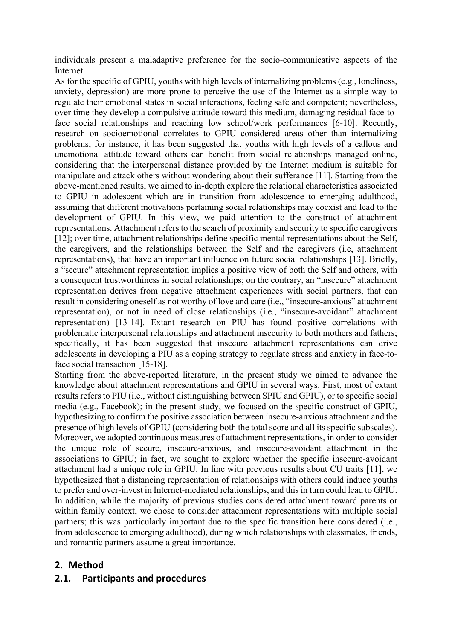individuals present a maladaptive preference for the socio-communicative aspects of the Internet.

As for the specific of GPIU, youths with high levels of internalizing problems (e.g., loneliness, anxiety, depression) are more prone to perceive the use of the Internet as a simple way to regulate their emotional states in social interactions, feeling safe and competent; nevertheless, over time they develop a compulsive attitude toward this medium, damaging residual face-toface social relationships and reaching low school/work performances [6-10]. Recently, research on socioemotional correlates to GPIU considered areas other than internalizing problems; for instance, it has been suggested that youths with high levels of a callous and unemotional attitude toward others can benefit from social relationships managed online, considering that the interpersonal distance provided by the Internet medium is suitable for manipulate and attack others without wondering about their sufferance [11]. Starting from the above-mentioned results, we aimed to in-depth explore the relational characteristics associated to GPIU in adolescent which are in transition from adolescence to emerging adulthood, assuming that different motivations pertaining social relationships may coexist and lead to the development of GPIU. In this view, we paid attention to the construct of attachment representations. Attachment refers to the search of proximity and security to specific caregivers [12]; over time, attachment relationships define specific mental representations about the Self, the caregivers, and the relationships between the Self and the caregivers (i.e, attachment representations), that have an important influence on future social relationships [13]. Briefly, a "secure" attachment representation implies a positive view of both the Self and others, with a consequent trustworthiness in social relationships; on the contrary, an "insecure" attachment representation derives from negative attachment experiences with social partners, that can result in considering oneself as not worthy of love and care (i.e., "insecure-anxious" attachment representation), or not in need of close relationships (i.e., "insecure-avoidant" attachment representation) [13-14]. Extant research on PIU has found positive correlations with problematic interpersonal relationships and attachment insecurity to both mothers and fathers; specifically, it has been suggested that insecure attachment representations can drive adolescents in developing a PIU as a coping strategy to regulate stress and anxiety in face-toface social transaction [15-18].

Starting from the above-reported literature, in the present study we aimed to advance the knowledge about attachment representations and GPIU in several ways. First, most of extant results refers to PIU (i.e., without distinguishing between SPIU and GPIU), or to specific social media (e.g., Facebook); in the present study, we focused on the specific construct of GPIU, hypothesizing to confirm the positive association between insecure-anxious attachment and the presence of high levels of GPIU (considering both the total score and all its specific subscales). Moreover, we adopted continuous measures of attachment representations, in order to consider the unique role of secure, insecure-anxious, and insecure-avoidant attachment in the associations to GPIU; in fact, we sought to explore whether the specific insecure-avoidant attachment had a unique role in GPIU. In line with previous results about CU traits [11], we hypothesized that a distancing representation of relationships with others could induce youths to prefer and over-invest in Internet-mediated relationships, and this in turn could lead to GPIU. In addition, while the majority of previous studies considered attachment toward parents or within family context, we chose to consider attachment representations with multiple social partners; this was particularly important due to the specific transition here considered (i.e., from adolescence to emerging adulthood), during which relationships with classmates, friends, and romantic partners assume a great importance.

# **2. Method**

# **2.1. Participants and procedures**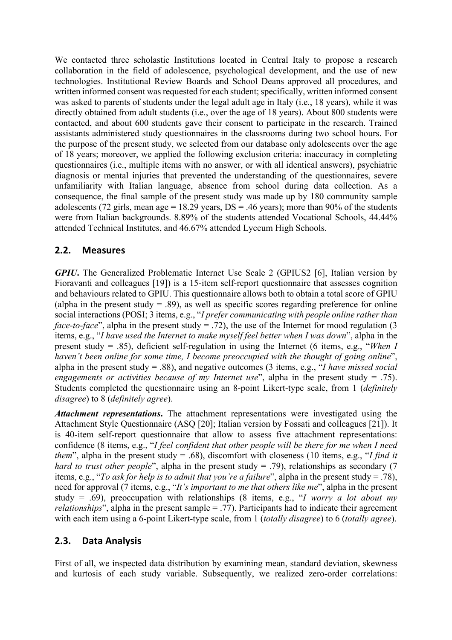We contacted three scholastic Institutions located in Central Italy to propose a research collaboration in the field of adolescence, psychological development, and the use of new technologies. Institutional Review Boards and School Deans approved all procedures, and written informed consent was requested for each student; specifically, written informed consent was asked to parents of students under the legal adult age in Italy (i.e., 18 years), while it was directly obtained from adult students (i.e., over the age of 18 years). About 800 students were contacted, and about 600 students gave their consent to participate in the research. Trained assistants administered study questionnaires in the classrooms during two school hours. For the purpose of the present study, we selected from our database only adolescents over the age of 18 years; moreover, we applied the following exclusion criteria: inaccuracy in completing questionnaires (i.e., multiple items with no answer, or with all identical answers), psychiatric diagnosis or mental injuries that prevented the understanding of the questionnaires, severe unfamiliarity with Italian language, absence from school during data collection. As a consequence, the final sample of the present study was made up by 180 community sample adolescents (72 girls, mean age = 18.29 years,  $DS = .46$  years); more than 90% of the students were from Italian backgrounds. 8.89% of the students attended Vocational Schools, 44.44% attended Technical Institutes, and 46.67% attended Lyceum High Schools.

## **2.2. Measures**

*GPIU*. The Generalized Problematic Internet Use Scale 2 (GPIUS2 [6], Italian version by Fioravanti and colleagues [19]) is a 15-item self-report questionnaire that assesses cognition and behaviours related to GPIU. This questionnaire allows both to obtain a total score of GPIU (alpha in the present study  $= .89$ ), as well as specific scores regarding preference for online social interactions (POSI; 3 items, e.g., "*I prefer communicating with people online rather than face-to-face*", alpha in the present study = .72), the use of the Internet for mood regulation (3 items, e.g., "*I have used the Internet to make myself feel better when I was down*", alpha in the present study = .85), deficient self-regulation in using the Internet (6 items, e.g., "*When I haven't been online for some time, I become preoccupied with the thought of going online*", alpha in the present study = .88), and negative outcomes (3 items, e.g., "*I have missed social engagements or activities because of my Internet use*", alpha in the present study = .75). Students completed the questionnaire using an 8-point Likert-type scale, from 1 (*definitely disagree*) to 8 (*definitely agree*).

*Attachment representations***.** The attachment representations were investigated using the Attachment Style Questionnaire (ASQ [20]; Italian version by Fossati and colleagues [21]). It is 40-item self-report questionnaire that allow to assess five attachment representations: confidence (8 items, e.g., "*I feel confident that other people will be there for me when I need them*", alpha in the present study = .68), discomfort with closeness (10 items, e.g., "*I find it hard to trust other people*", alpha in the present study = .79), relationships as secondary (7 items, e.g., "*To ask for help is to admit that you're a failure*", alpha in the present study = .78), need for approval (7 items, e.g., "*It's important to me that others like me*", alpha in the present study = .69), preoccupation with relationships (8 items, e.g., "*I worry a lot about my relationships*", alpha in the present sample = .77). Participants had to indicate their agreement with each item using a 6-point Likert-type scale, from 1 (*totally disagree*) to 6 (*totally agree*).

### **2.3. Data Analysis**

First of all, we inspected data distribution by examining mean, standard deviation, skewness and kurtosis of each study variable. Subsequently, we realized zero-order correlations: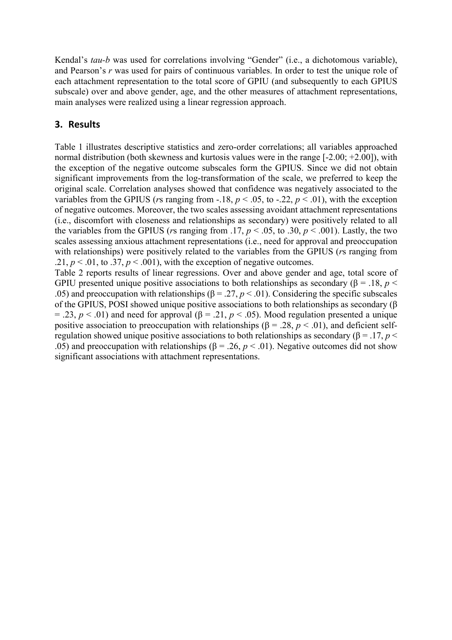Kendal's *tau-b* was used for correlations involving "Gender" (i.e., a dichotomous variable), and Pearson's *r* was used for pairs of continuous variables. In order to test the unique role of each attachment representation to the total score of GPIU (and subsequently to each GPIUS subscale) over and above gender, age, and the other measures of attachment representations, main analyses were realized using a linear regression approach.

# **3. Results**

Table 1 illustrates descriptive statistics and zero-order correlations; all variables approached normal distribution (both skewness and kurtosis values were in the range [-2.00; +2.00]), with the exception of the negative outcome subscales form the GPIUS. Since we did not obtain significant improvements from the log-transformation of the scale, we preferred to keep the original scale. Correlation analyses showed that confidence was negatively associated to the variables from the GPIUS (*r*s ranging from -.18,  $p < .05$ , to -.22,  $p < .01$ ), with the exception of negative outcomes. Moreover, the two scales assessing avoidant attachment representations (i.e., discomfort with closeness and relationships as secondary) were positively related to all the variables from the GPIUS (*rs* ranging from .17,  $p < .05$ , to .30,  $p < .001$ ). Lastly, the two scales assessing anxious attachment representations (i.e., need for approval and preoccupation with relationships) were positively related to the variables from the GPIUS (*r*s ranging from .21,  $p < 0.01$ , to .37,  $p < 0.001$ ), with the exception of negative outcomes.

Table 2 reports results of linear regressions. Over and above gender and age, total score of GPIU presented unique positive associations to both relationships as secondary ( $\beta$  = .18, *p* < .05) and preoccupation with relationships ( $\beta = .27, p < .01$ ). Considering the specific subscales of the GPIUS, POSI showed unique positive associations to both relationships as secondary (β  $= .23$ ,  $p < .01$ ) and need for approval ( $\beta = .21$ ,  $p < .05$ ). Mood regulation presented a unique positive association to preoccupation with relationships ( $\beta = .28$ ,  $p < .01$ ), and deficient selfregulation showed unique positive associations to both relationships as secondary (β = .17, *p* < .05) and preoccupation with relationships ( $\beta$  = .26,  $p$  < .01). Negative outcomes did not show significant associations with attachment representations.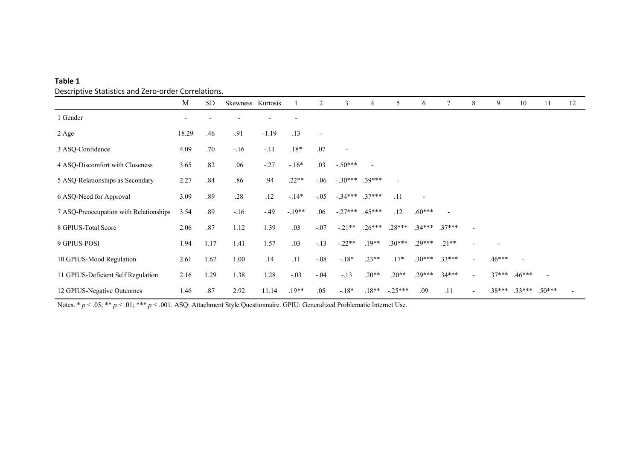| Table 1                                             |
|-----------------------------------------------------|
| Descriptive Statistics and Zero-order Correlations. |

|                                        | M                        | <b>SD</b> | Skewness Kurtosis |         |          | 2                        | 3         | $\overline{4}$ | 5         | 6                        |          | 8 | 9        | 10       | 11             | 12 |
|----------------------------------------|--------------------------|-----------|-------------------|---------|----------|--------------------------|-----------|----------------|-----------|--------------------------|----------|---|----------|----------|----------------|----|
| 1 Gender                               | $\overline{\phantom{a}}$ |           |                   |         |          |                          |           |                |           |                          |          |   |          |          |                |    |
| 2 Age                                  | 18.29                    | .46       | .91               | $-1.19$ | .13      | $\overline{\phantom{a}}$ |           |                |           |                          |          |   |          |          |                |    |
| 3 ASQ-Confidence                       | 4.09                     | .70       | $-.16$            | $-.11$  | $.18*$   | .07                      |           |                |           |                          |          |   |          |          |                |    |
| 4 ASQ-Discomfort with Closeness        | 3.65                     | .82       | .06               | $-.27$  | $-16*$   | .03                      | $-.50***$ |                |           |                          |          |   |          |          |                |    |
| 5 ASQ-Relationships as Secondary       | 2.27                     | .84       | .86               | .94     | $.22**$  | $-.06$                   | $-.30***$ | $.39***$       |           |                          |          |   |          |          |                |    |
| 6 ASQ-Need for Approval                | 3.09                     | .89       | .28               | .12     | $-14*$   | $-.05$                   | $-.34***$ | $.37***$       | .11       | $\overline{\phantom{a}}$ |          |   |          |          |                |    |
| 7 ASQ-Preoccupation with Relationships | 3.54                     | .89       | $-.16$            | $-.49$  | $-.19**$ | .06                      | $-.27***$ | $.45***$       | .12       | $.60***$                 |          |   |          |          |                |    |
| 8 GPIUS-Total Score                    | 2.06                     | .87       | 1.12              | 1.39    | .03      | $-.07$                   | $-.21**$  | $.26***$       | $.28***$  | $.34***$                 | $.37***$ |   |          |          |                |    |
| 9 GPIUS-POSI                           | 1.94                     | 1.17      | 1.41              | 1.57    | .03      | $-.13$                   | $-.22**$  | $.19**$        | $.30***$  | $.29***$                 | $.21**$  |   |          |          |                |    |
| 10 GPIUS-Mood Regulation               | 2.61                     | 1.67      | 1.00              | .14     | .11      | $-.08$                   | $-18*$    | $.23**$        | $.17*$    | $.30***$                 | $.33***$ |   | $.46***$ |          |                |    |
| 11 GPIUS-Deficient Self Regulation     | 2.16                     | 1.29      | 1.38              | 1.28    | $-.03$   | $-.04$                   | $-.13$    | $.20**$        | $.20**$   | $.29***$                 | $.34***$ |   | $.37***$ | $.46***$ | $\overline{a}$ |    |
| 12 GPIUS-Negative Outcomes             | 1.46                     | .87       | 2.92              | 11.14   | $.19**$  | .05                      | $-18*$    | $.18**$        | $-.25***$ | .09                      | .11      |   | $.38***$ | $.33***$ | $.50***$       |    |

Notes. \*  $p < .05$ ; \*\*  $p < .01$ ; \*\*\*  $p < .001$ . ASQ: Attachment Style Questionnaire. GPIU: Generalized Problematic Internet Use.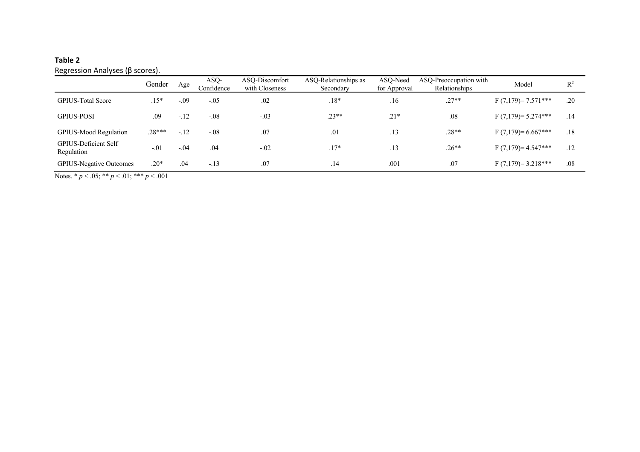# **Table 2**

Regression Analyses (β scores).

|                                           | Gender   | Age    | ASQ-<br>Confidence | ASO-Discomfort<br>with Closeness | ASO-Relationships as<br>Secondary | ASO-Need<br>for Approval | ASQ-Preoccupation with<br>Relationships | Model                 | $\mathbb{R}^2$ |
|-------------------------------------------|----------|--------|--------------------|----------------------------------|-----------------------------------|--------------------------|-----------------------------------------|-----------------------|----------------|
| <b>GPIUS-Total Score</b>                  | $.15*$   | $-.09$ | $-.05$             | .02                              | $.18*$                            | .16                      | $.27**$                                 | $F(7,179) = 7.571***$ | .20            |
| <b>GPIUS-POSI</b>                         | .09      | $-.12$ | $-.08$             | $-.03$                           | $.23**$                           | $.21*$                   | .08                                     | $F(7,179) = 5.274***$ | .14            |
| GPIUS-Mood Regulation                     | $.28***$ | $-.12$ | $-.08$             | .07                              | .01                               | .13                      | $.28**$                                 | $F(7,179)=6.667***$   | .18            |
| <b>GPIUS-Deficient Self</b><br>Regulation | $-.01$   | $-.04$ | .04                | $-.02$                           | $.17*$                            | .13                      | $.26**$                                 | $F(7,179)=4.547***$   | .12            |
| <b>GPIUS-Negative Outcomes</b>            | $.20*$   | .04    | $-.13$             | .07                              | .14                               | .001                     | .07                                     | $F(7,179)=3.218***$   | .08            |

Notes. \* *p* < .05; \*\* *p* < .01; \*\*\* *p* < .001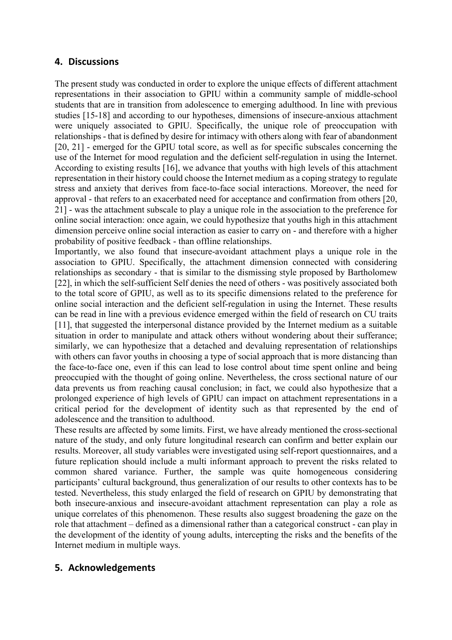### **4. Discussions**

The present study was conducted in order to explore the unique effects of different attachment representations in their association to GPIU within a community sample of middle-school students that are in transition from adolescence to emerging adulthood. In line with previous studies [15-18] and according to our hypotheses, dimensions of insecure-anxious attachment were uniquely associated to GPIU. Specifically, the unique role of preoccupation with relationships - that is defined by desire for intimacy with others along with fear of abandonment [20, 21] - emerged for the GPIU total score, as well as for specific subscales concerning the use of the Internet for mood regulation and the deficient self-regulation in using the Internet. According to existing results [16], we advance that youths with high levels of this attachment representation in their history could choose the Internet medium as a coping strategy to regulate stress and anxiety that derives from face-to-face social interactions. Moreover, the need for approval - that refers to an exacerbated need for acceptance and confirmation from others [20, 21] - was the attachment subscale to play a unique role in the association to the preference for online social interaction: once again, we could hypothesize that youths high in this attachment dimension perceive online social interaction as easier to carry on - and therefore with a higher probability of positive feedback - than offline relationships.

Importantly, we also found that insecure-avoidant attachment plays a unique role in the association to GPIU. Specifically, the attachment dimension connected with considering relationships as secondary - that is similar to the dismissing style proposed by Bartholomew [22], in which the self-sufficient Self denies the need of others - was positively associated both to the total score of GPIU, as well as to its specific dimensions related to the preference for online social interaction and the deficient self-regulation in using the Internet. These results can be read in line with a previous evidence emerged within the field of research on CU traits [11], that suggested the interpersonal distance provided by the Internet medium as a suitable situation in order to manipulate and attack others without wondering about their sufferance; similarly, we can hypothesize that a detached and devaluing representation of relationships with others can favor youths in choosing a type of social approach that is more distancing than the face-to-face one, even if this can lead to lose control about time spent online and being preoccupied with the thought of going online. Nevertheless, the cross sectional nature of our data prevents us from reaching causal conclusion; in fact, we could also hypothesize that a prolonged experience of high levels of GPIU can impact on attachment representations in a critical period for the development of identity such as that represented by the end of adolescence and the transition to adulthood.

These results are affected by some limits. First, we have already mentioned the cross-sectional nature of the study, and only future longitudinal research can confirm and better explain our results. Moreover, all study variables were investigated using self-report questionnaires, and a future replication should include a multi informant approach to prevent the risks related to common shared variance. Further, the sample was quite homogeneous considering participants' cultural background, thus generalization of our results to other contexts has to be tested. Nevertheless, this study enlarged the field of research on GPIU by demonstrating that both insecure-anxious and insecure-avoidant attachment representation can play a role as unique correlates of this phenomenon. These results also suggest broadening the gaze on the role that attachment – defined as a dimensional rather than a categorical construct - can play in the development of the identity of young adults, intercepting the risks and the benefits of the Internet medium in multiple ways.

### **5. Acknowledgements**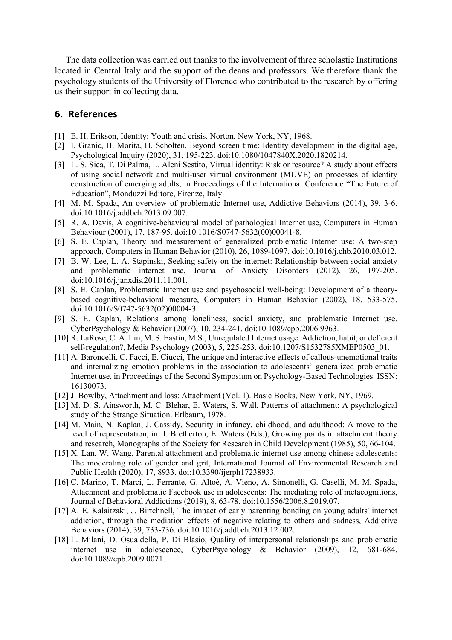The data collection was carried out thanks to the involvement of three scholastic Institutions located in Central Italy and the support of the deans and professors. We therefore thank the psychology students of the University of Florence who contributed to the research by offering us their support in collecting data.

#### **6. References**

- [1] E. H. Erikson, Identity: Youth and crisis. Norton, New York, NY, 1968.
- [2] I. Granic, H. Morita, H. Scholten, Beyond screen time: Identity development in the digital age, Psychological Inquiry (2020), 31, 195-223. doi:10.1080/1047840X.2020.1820214.
- [3] L. S. Sica, T. Di Palma, L. Aleni Sestito, Virtual identity: Risk or resource? A study about effects of using social network and multi-user virtual environment (MUVE) on processes of identity construction of emerging adults, in Proceedings of the International Conference "The Future of Education", Monduzzi Editore, Firenze, Italy.
- [4] M. M. Spada, An overview of problematic Internet use, Addictive Behaviors (2014), 39, 3-6. doi:10.1016/j.addbeh.2013.09.007.
- [5] R. A. Davis, A cognitive-behavioural model of pathological Internet use, Computers in Human Behaviour (2001), 17, 187-95. doi:10.1016/S0747-5632(00)00041-8.
- [6] S. E. Caplan, Theory and measurement of generalized problematic Internet use: A two-step approach, Computers in Human Behavior (2010), 26, 1089-1097. doi:10.1016/j.chb.2010.03.012.
- [7] B. W. Lee, L. A. Stapinski, Seeking safety on the internet: Relationship between social anxiety and problematic internet use, Journal of Anxiety Disorders (2012), 26, 197-205. doi:10.1016/j.janxdis.2011.11.001.
- [8] S. E. Caplan, Problematic Internet use and psychosocial well-being: Development of a theorybased cognitive-behavioral measure, Computers in Human Behavior (2002), 18, 533-575. doi:10.1016/S0747-5632(02)00004-3.
- [9] S. E. Caplan, Relations among loneliness, social anxiety, and problematic Internet use. CyberPsychology & Behavior (2007), 10, 234-241. doi:10.1089/cpb.2006.9963.
- [10] R. LaRose, C. A. Lin, M. S. Eastin, M.S., Unregulated Internet usage: Addiction, habit, or deficient self-regulation?, Media Psychology (2003), 5, 225-253. doi:10.1207/S1532785XMEP0503\_01.
- [11] A. Baroncelli, C. Facci, E. Ciucci, The unique and interactive effects of callous-unemotional traits and internalizing emotion problems in the association to adolescents' generalized problematic Internet use, in Proceedings of the Second Symposium on Psychology-Based Technologies. ISSN: 16130073.
- [12] J. Bowlby, Attachment and loss: Attachment (Vol. 1). Basic Books, New York, NY, 1969.
- [13] M. D. S. Ainsworth, M. C. Blehar, E. Waters, S. Wall, Patterns of attachment: A psychological study of the Strange Situation. Erlbaum, 1978.
- [14] M. Main, N. Kaplan, J. Cassidy, Security in infancy, childhood, and adulthood: A move to the level of representation, in: I. Bretherton, E. Waters (Eds.), Growing points in attachment theory and research, Monographs of the Society for Research in Child Development (1985), 50, 66-104.
- [15] X. Lan, W. Wang, Parental attachment and problematic internet use among chinese adolescents: The moderating role of gender and grit, International Journal of Environmental Research and Public Health (2020), 17, 8933. doi:10.3390/ijerph17238933.
- [16] C. Marino, T. Marci, L. Ferrante, G. Altoè, A. Vieno, A. Simonelli, G. Caselli, M. M. Spada, Attachment and problematic Facebook use in adolescents: The mediating role of metacognitions, Journal of Behavioral Addictions (2019), 8, 63-78. doi:10.1556/2006.8.2019.07.
- [17] A. E. Kalaitzaki, J. Birtchnell, The impact of early parenting bonding on young adults' internet addiction, through the mediation effects of negative relating to others and sadness, Addictive Behaviors (2014), 39, 733-736. doi:10.1016/j.addbeh.2013.12.002.
- [18] L. Milani, D. Osualdella, P. Di Blasio, Quality of interpersonal relationships and problematic internet use in adolescence, CyberPsychology & Behavior (2009), 12, 681-684. doi:10.1089/cpb.2009.0071.